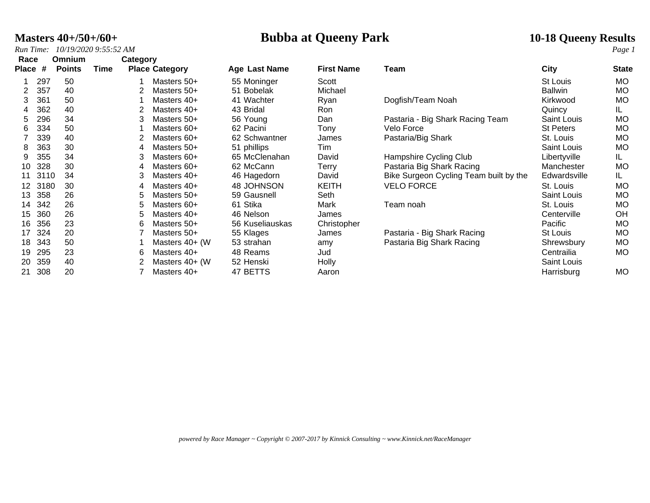**Masters 40+/50+/60+ Bubba at Queeny Park 10-18 Queeny Results**

*Run Time: 10/19/2020 9:55:52 AM Page 1*

| Race         |      | <b>Omnium</b> | Category |   |                       |                 |                   |                                        |                  |              |
|--------------|------|---------------|----------|---|-----------------------|-----------------|-------------------|----------------------------------------|------------------|--------------|
| <b>Place</b> | #    | <b>Points</b> | Time     |   | <b>Place Category</b> | Age Last Name   | <b>First Name</b> | Team                                   | City             | <b>State</b> |
|              | 297  | 50            |          |   | Masters 50+           | 55 Moninger     | Scott             |                                        | St Louis         | MO           |
|              | 357  | 40            |          |   | Masters 50+           | 51 Bobelak      | Michael           |                                        | <b>Ballwin</b>   | MO           |
| 3            | 361  | 50            |          |   | Masters 40+           | 41 Wachter      | Ryan              | Dogfish/Team Noah                      | Kirkwood         | MO           |
| 4            | 362  | 40            |          |   | Masters 40+           | 43 Bridal       | Ron               |                                        | Quincy           | IL.          |
| 5            | 296  | 34            |          |   | Masters 50+           | 56 Young        | Dan               | Pastaria - Big Shark Racing Team       | Saint Louis      | <b>MO</b>    |
| 6            | 334  | 50            |          |   | Masters 60+           | 62 Pacini       | Tony              | Velo Force                             | <b>St Peters</b> | <b>MO</b>    |
|              | 339  | 40            |          |   | Masters 60+           | 62 Schwantner   | James             | Pastaria/Big Shark                     | St. Louis        | МO           |
| 8            | 363  | 30            |          |   | Masters 50+           | 51 phillips     | Tim               |                                        | Saint Louis      | <b>MO</b>    |
| 9            | 355  | 34            |          |   | Masters 60+           | 65 McClenahan   | David             | Hampshire Cycling Club                 | Libertyville     | IL.          |
| 10           | 328  | 30            |          | 4 | Masters 60+           | 62 McCann       | Terry             | Pastaria Big Shark Racing              | Manchester       | <b>MO</b>    |
| 11           | 3110 | 34            |          |   | Masters 40+           | 46 Hagedorn     | David             | Bike Surgeon Cycling Team built by the | Edwardsville     | IL.          |
| 12           | 3180 | 30            |          | 4 | Masters 40+           | 48 JOHNSON      | <b>KEITH</b>      | <b>VELO FORCE</b>                      | St. Louis        | MO           |
| 13           | 358  | 26            |          | 5 | Masters 50+           | 59 Gausnell     | Seth              |                                        | Saint Louis      | <b>MO</b>    |
| 14           | 342  | 26            |          | 5 | Masters 60+           | 61 Stika        | Mark              | Team noah                              | St. Louis        | <b>MO</b>    |
| 15           | 360  | 26            |          | 5 | Masters 40+           | 46 Nelson       | James             |                                        | Centerville      | OH           |
| 16           | 356  | 23            |          | 6 | Masters 50+           | 56 Kuseliauskas | Christopher       |                                        | Pacific          | <b>MO</b>    |
| 17           | 324  | 20            |          |   | Masters 50+           | 55 Klages       | James             | Pastaria - Big Shark Racing            | St Louis         | MO           |
| 18           | 343  | 50            |          |   | Masters $40+$ (W)     | 53 strahan      | amy               | Pastaria Big Shark Racing              | Shrewsbury       | <b>MO</b>    |
| 19           | 295  | 23            |          | 6 | Masters 40+           | 48 Reams        | Jud               |                                        | Centrailia       | MO           |
| 20           | 359  | 40            |          |   | Masters 40+ (W)       | 52 Henski       | Holly             |                                        | Saint Louis      |              |
| 21           | 308  | 20            |          |   | Masters 40+           | 47 BETTS        | Aaron             |                                        | Harrisburg       | MO           |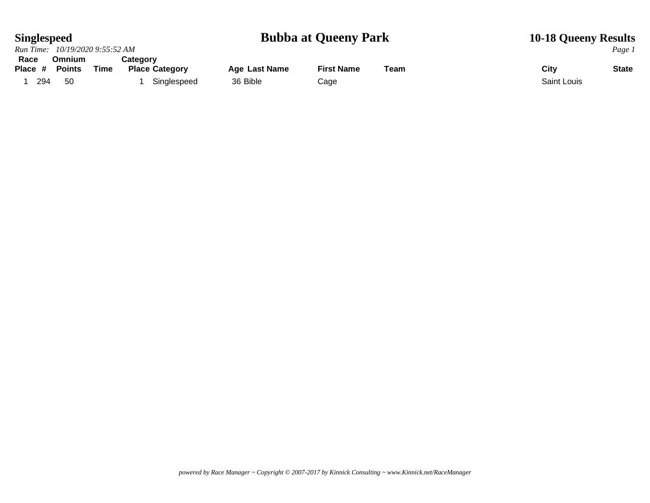### **Singlespeed Bubba at Queeny Park 10-18 Queeny Results**

|         | Run Time: 10/19/2020 9:55:52 AM |      |                       |               |                   |      |             | Page 1       |
|---------|---------------------------------|------|-----------------------|---------------|-------------------|------|-------------|--------------|
| Race    | <b>Omnium</b>                   |      | Cateɑorv              |               |                   |      |             |              |
| Place # | Points                          | Time | <b>Place Category</b> | Age Last Name | <b>First Name</b> | Team | City        | <b>State</b> |
| 294     | 50                              |      | Singlespeed           | 36 Bible      | Cage              |      | Saint Louis |              |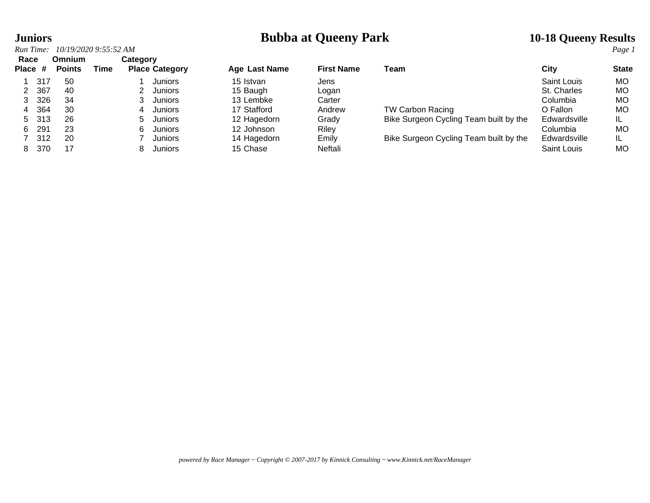## **Juniors**<br> **Bubba at Queeny Park** 10-18 Queeny Results<br> **Run Time:** 10/19/2020 9:55:52 AM

| Run Time:       |                                                | 10/19/2020 9:55:52 AM                  |      |             |                                                                                         |                                                                                               |                                                              |                                                                                                             |                                                                                                | Page 1                                                      |
|-----------------|------------------------------------------------|----------------------------------------|------|-------------|-----------------------------------------------------------------------------------------|-----------------------------------------------------------------------------------------------|--------------------------------------------------------------|-------------------------------------------------------------------------------------------------------------|------------------------------------------------------------------------------------------------|-------------------------------------------------------------|
| Race<br>Place # |                                                | <b>Omnium</b><br><b>Points</b>         | Time | Category    | <b>Place Category</b>                                                                   | <b>Age Last Name</b>                                                                          | <b>First Name</b>                                            | Team                                                                                                        | City                                                                                           | <b>State</b>                                                |
| 4<br>5.<br>6    | 317<br>367<br>326<br>364<br>-313<br>291<br>312 | 50<br>40<br>34<br>30<br>26<br>23<br>20 |      | 4<br>5<br>6 | <b>Juniors</b><br>Juniors<br>Juniors<br>Juniors<br>Juniors<br>Juniors<br><b>Juniors</b> | 15 Istvan<br>15 Baugh<br>13 Lembke<br>17 Stafford<br>12 Hagedorn<br>12 Johnson<br>14 Hagedorn | Jens<br>Logan<br>Carter<br>Andrew<br>Grady<br>Rilev<br>Emily | <b>TW Carbon Racing</b><br>Bike Surgeon Cycling Team built by the<br>Bike Surgeon Cycling Team built by the | Saint Louis<br>St. Charles<br>Columbia<br>O Fallon<br>Edwardsville<br>Columbia<br>Edwardsville | <b>MO</b><br>МO<br>МO<br><b>MO</b><br>IL<br><b>MO</b><br>IL |
| 8               | 370                                            | 17                                     |      |             | Juniors                                                                                 | 15 Chase                                                                                      | Neftali                                                      |                                                                                                             | Saint Louis                                                                                    | <b>MO</b>                                                   |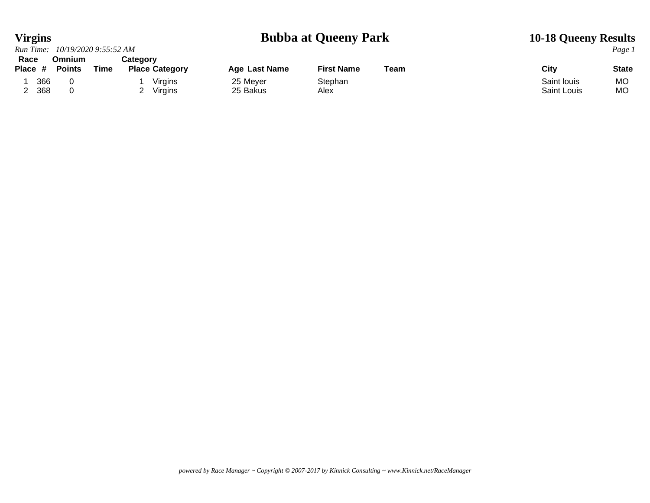### **Virgins Bubba at Queeny Park 10-18 Queeny Results**

| Run Time: 10/19/2020 9:55:52 AM |                                |      |          |                       |                      |                   |      |                    | Page 1 |
|---------------------------------|--------------------------------|------|----------|-----------------------|----------------------|-------------------|------|--------------------|--------|
| Race<br>Place $\#$              | <b>Omnium</b><br><b>Points</b> | Time | Category | <b>Place Category</b> | <b>Age Last Name</b> | <b>First Name</b> | Team | City               | State  |
| 366                             |                                |      |          | Virgins               | 25 Meyer             | Stephan           |      | Saint louis        | MO.    |
| 368                             |                                |      |          | Virgins               | 25 Bakus             | Alex              |      | <b>Saint Louis</b> | MO.    |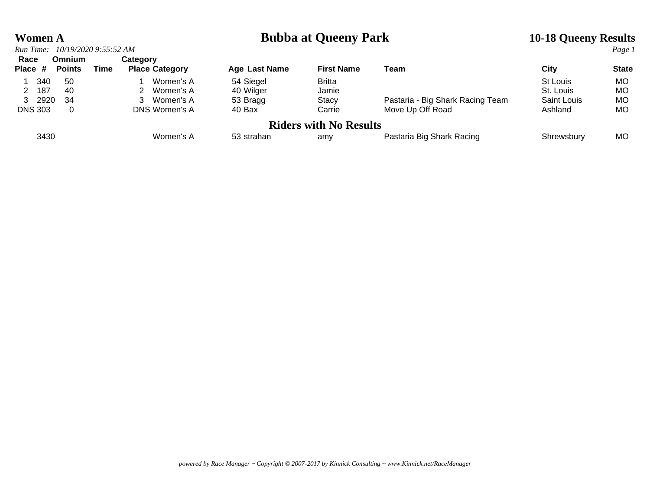### **Women A Bubba at Queeny Park 10-18 Queeny Results**

| Run Time:         | 10/19/2020 9:55:52 AM          |      |                                   |               |                               |                                  |             | Page 1       |
|-------------------|--------------------------------|------|-----------------------------------|---------------|-------------------------------|----------------------------------|-------------|--------------|
| Race<br>Place $#$ | <b>Omnium</b><br><b>Points</b> | Time | Category<br><b>Place Category</b> | Age Last Name | <b>First Name</b>             | Team                             | City        | <b>State</b> |
| 340               | -50                            |      | Women's A                         | 54 Siegel     | <b>Britta</b>                 |                                  | St Louis    | MO.          |
| 2 187             | -40                            |      | Women's A                         | 40 Wilger     | Jamie                         |                                  | St. Louis   | МO           |
| 3 2920            | -34                            |      | Women's A                         | 53 Bragg      | <b>Stacy</b>                  | Pastaria - Big Shark Racing Team | Saint Louis | МO           |
| <b>DNS 303</b>    | 0                              |      | DNS Women's A                     | 40 Bax        | Carrie                        | Move Up Off Road                 | Ashland     | МO           |
|                   |                                |      |                                   |               | <b>Riders with No Results</b> |                                  |             |              |
| 3430              |                                |      | Women's A                         | 53 strahan    | amy                           | Pastaria Big Shark Racing        | Shrewsbury  | MO.          |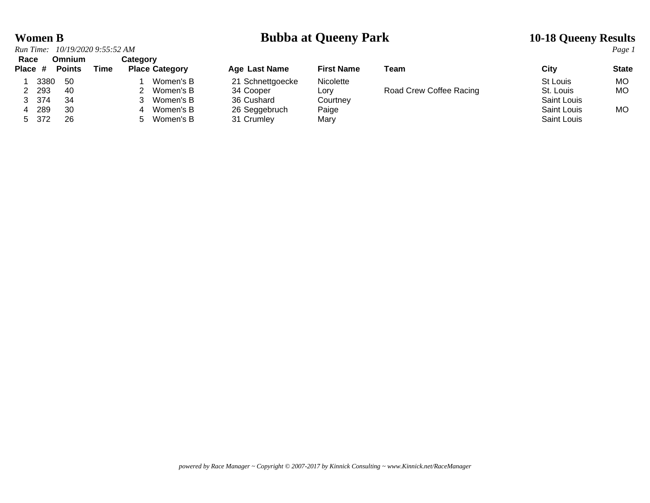### **Women B Bubba at Queeny Park 10-18 Queeny Results**

|                 |      | Run Time: 10/19/2020 9:55:52 AM |      |          |                       |                  |                   |                         |             | Page 1       |
|-----------------|------|---------------------------------|------|----------|-----------------------|------------------|-------------------|-------------------------|-------------|--------------|
| Race<br>Place # |      | <b>Omnium</b><br><b>Points</b>  | Time | Category | <b>Place Category</b> | Age Last Name    | <b>First Name</b> | Team                    | City        | <b>State</b> |
|                 | 3380 | - 50                            |      |          | Women's B             | 21 Schnettgoecke | Nicolette         |                         | St Louis    | MO.          |
| 2 2 9 3         |      | 40                              |      |          | Women's B             | 34 Cooper        | Lorv              | Road Crew Coffee Racing | St. Louis   | <b>MO</b>    |
| 3 374           |      | -34                             |      |          | Women's B             | 36 Cushard       | Courtnev          |                         | Saint Louis |              |
|                 | 289  | 30                              |      |          | Women's B             | 26 Seggebruch    | Paige             |                         | Saint Louis | МO           |
| 5 372           |      | 26                              |      | :5       | Women's B             | 31 Crumley       | Mary              |                         | Saint Louis |              |

| <b>Age Last Name</b> | <b>First Name</b> | Team                    | City               | <b>State</b> |
|----------------------|-------------------|-------------------------|--------------------|--------------|
| 21 Schnettgoecke     | <b>Nicolette</b>  |                         | St Louis           | <b>MO</b>    |
| 34 Cooper            | Lorv              | Road Crew Coffee Racing | St. Louis          | <b>MO</b>    |
| 36 Cushard           | Courtney          |                         | <b>Saint Louis</b> |              |
| 26 Seggebruch        | Paige             |                         | <b>Saint Louis</b> | MO           |
| 04.0                 | <b>MA</b>         |                         | $O = 1 + 1 + 1$    |              |

*powered by Race Manager ~ Copyright © 2007-2017 by Kinnick Consulting ~ www.Kinnick.net/RaceManager*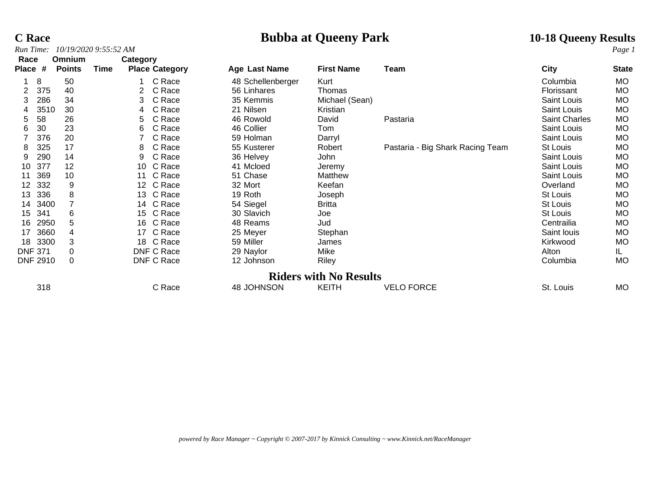## *Run Time:*  $10/19/20209:55:52 AM$

# **C Race Bubba at Queeny Park 10-18 Queeny Results**

| Race                   | <b>Omnium</b> | Category |                       |                   |                               |                                  |               |              |
|------------------------|---------------|----------|-----------------------|-------------------|-------------------------------|----------------------------------|---------------|--------------|
| #<br><b>Place</b>      | <b>Points</b> | Time     | <b>Place Category</b> | Age Last Name     | <b>First Name</b>             | Team                             | City          | <b>State</b> |
| 8                      | 50            |          | C Race                | 48 Schellenberger | Kurt                          |                                  | Columbia      | <b>MO</b>    |
| 375                    | 40            |          | C Race                | 56 Linhares       | Thomas                        |                                  | Florissant    | <b>MO</b>    |
| 286<br>3               | 34            | 3        | C Race                | 35 Kemmis         | Michael (Sean)                |                                  | Saint Louis   | <b>MO</b>    |
| 3510                   | 30            | 4        | C Race                | 21 Nilsen         | Kristian                      |                                  | Saint Louis   | <b>MO</b>    |
| 58<br>5.               | 26            | 5.       | C Race                | 46 Rowold         | David                         | Pastaria                         | Saint Charles | <b>MO</b>    |
| 30<br>6                | 23            | 6        | C Race                | 46 Collier        | Tom                           |                                  | Saint Louis   | <b>MO</b>    |
| 376                    | 20            |          | C Race                | 59 Holman         | Darryl                        |                                  | Saint Louis   | <b>MO</b>    |
| 325<br>8               | 17            | 8        | C Race                | 55 Kusterer       | Robert                        | Pastaria - Big Shark Racing Team | St Louis      | <b>MO</b>    |
| 290<br>9               | 14            | 9        | C Race                | 36 Helvey         | John                          |                                  | Saint Louis   | <b>MO</b>    |
| 377<br>10              | 12            | 10       | C Race                | 41 Mcloed         | Jeremy                        |                                  | Saint Louis   | <b>MO</b>    |
| 369<br>11              | 10            | 11       | C Race                | 51 Chase          | Matthew                       |                                  | Saint Louis   | <b>MO</b>    |
| 332<br>12 <sup>°</sup> | 9             |          | 12 C Race             | 32 Mort           | Keefan                        |                                  | Overland      | <b>MO</b>    |
| 336<br>13              | 8             |          | 13 C Race             | 19 Roth           | Joseph                        |                                  | St Louis      | <b>MO</b>    |
| 3400<br>14             |               |          | 14 C Race             | 54 Siegel         | <b>Britta</b>                 |                                  | St Louis      | <b>MO</b>    |
| 341<br>15              | 6             |          | 15 C Race             | 30 Slavich        | Joe                           |                                  | St Louis      | <b>MO</b>    |
| 2950<br>16             | 5             | 16       | C Race                | 48 Reams          | Jud                           |                                  | Centrailia    | <b>MO</b>    |
| 3660<br>17             | 4             | 17       | C Race                | 25 Meyer          | Stephan                       |                                  | Saint louis   | MO           |
| 3300<br>18             | 3             |          | 18 C Race             | 59 Miller         | James                         |                                  | Kirkwood      | <b>MO</b>    |
| <b>DNF 371</b>         | 0             |          | DNF C Race            | 29 Naylor         | Mike                          |                                  | Alton         | IL.          |
| <b>DNF 2910</b>        | $\Omega$      |          | DNF C Race            | 12 Johnson        | Riley                         |                                  | Columbia      | MO           |
|                        |               |          |                       |                   | <b>Riders with No Results</b> |                                  |               |              |
| 318                    |               |          | C Race                | 48 JOHNSON        | <b>KEITH</b>                  | <b>VELO FORCE</b>                | St. Louis     | <b>MO</b>    |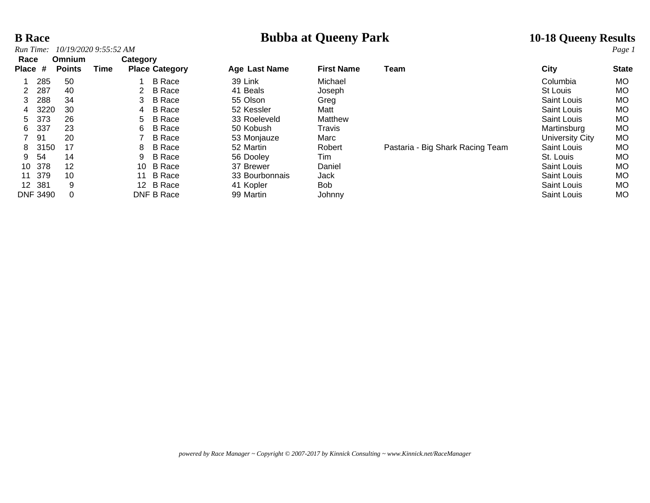## **B Race Bubba at Queeny Park 10-18 Queeny Results 10-18 Queeny Results** *Page 1*

| Run Time:       |                 | 10/19/2020 9:55:52 AM   |      |          |                       |                      |                   |                                  |                    | Page 1       |
|-----------------|-----------------|-------------------------|------|----------|-----------------------|----------------------|-------------------|----------------------------------|--------------------|--------------|
| Race<br>Place # |                 | Omnium<br><b>Points</b> | Time | Category | <b>Place Category</b> | <b>Age Last Name</b> | <b>First Name</b> | Team                             | City               | <b>State</b> |
|                 | 285             | 50                      |      |          | <b>B</b> Race         | 39 Link              | Michael           |                                  | Columbia           | МO           |
| 2               | 287             | 40                      |      | 2        | <b>B</b> Race         | 41 Beals             | Joseph            |                                  | <b>St Louis</b>    | MO.          |
| 3               | 288             | 34                      |      | 3        | <b>B</b> Race         | 55 Olson             | Greg              |                                  | Saint Louis        | МO           |
| 4               | 3220            | 30                      |      | 4        | <b>B</b> Race         | 52 Kessler           | Matt              |                                  | Saint Louis        | МO           |
| 5.              | 373             | 26                      |      | 5        | B Race                | 33 Roeleveld         | Matthew           |                                  | Saint Louis        | МO           |
| 6               | 337             | 23                      |      | 6        | <b>B</b> Race         | 50 Kobush            | Travis            |                                  | Martinsburg        | MO.          |
|                 | 91              | 20                      |      |          | <b>B</b> Race         | 53 Monjauze          | Marc              |                                  | University City    | <b>MO</b>    |
| 8               | 3150            | 17                      |      | 8        | <b>B</b> Race         | 52 Martin            | Robert            | Pastaria - Big Shark Racing Team | <b>Saint Louis</b> | МO           |
| 9               | -54             | 14                      |      | 9        | <b>B</b> Race         | 56 Dooley            | Tim               |                                  | St. Louis          | МO           |
| 10              | 378             | 12                      |      | 10       | <b>B</b> Race         | 37 Brewer            | Daniel            |                                  | Saint Louis        | <b>MO</b>    |
| 11              | 379             | 10                      |      | 11       | <b>B</b> Race         | 33 Bourbonnais       | Jack              |                                  | Saint Louis        | МO           |
| 12 <sup>2</sup> | -381            | 9                       |      |          | 12 B Race             | 41 Kopler            | <b>Bob</b>        |                                  | <b>Saint Louis</b> | МO           |
|                 | <b>DNF 3490</b> |                         |      |          | DNF B Race            | 99 Martin            | Johnny            |                                  | Saint Louis        | MO.          |